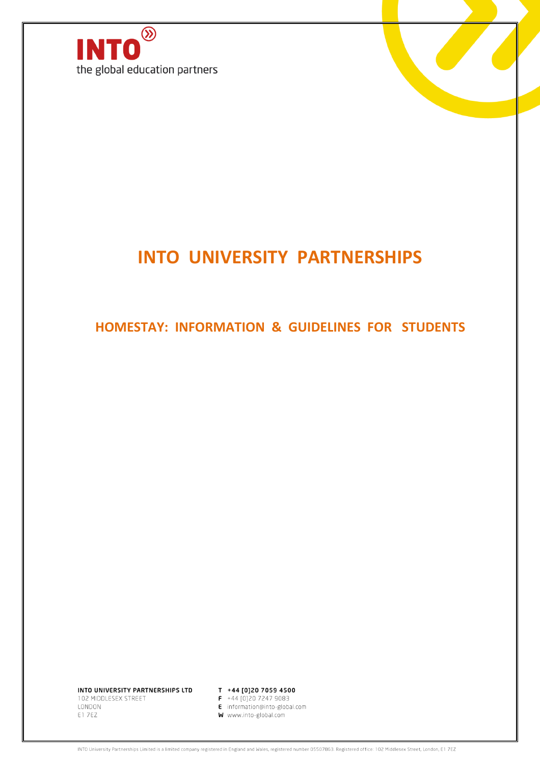

# **INTO UNIVERSITY PARTNERSHIPS**

# **HOMESTAY: INFORMATION & GUIDELINES FOR STUDENTS**

INTO UNIVERSITY PARTNERSHIPS LTD 102 MIDDLESEX STREET LONDON E1 7EZ

T +44 [0]20 7059 4500  $F + 44 [0]20 7247 9083$ E information@into-global.com W www.into-global.com

INTO University Partnerships Limited is a limited company registered in England and Wales, registered number 05507863. Registered office: 102 Middlesex Street, London, E1 7EZ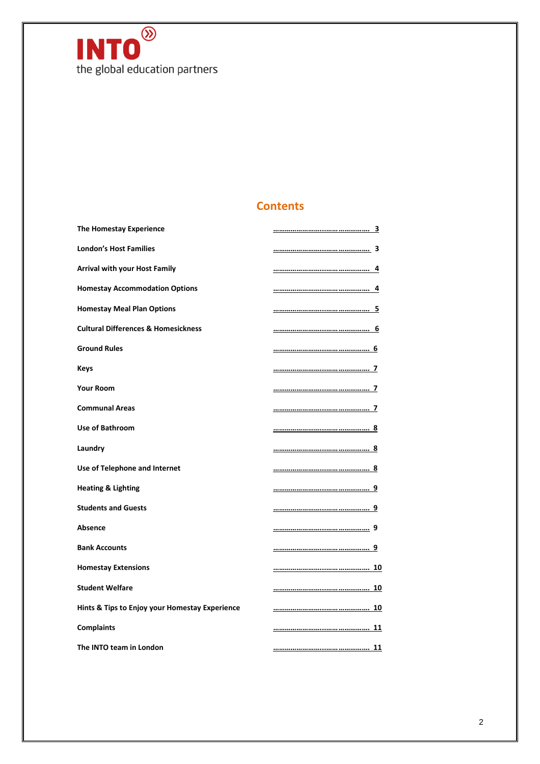

# **Contents**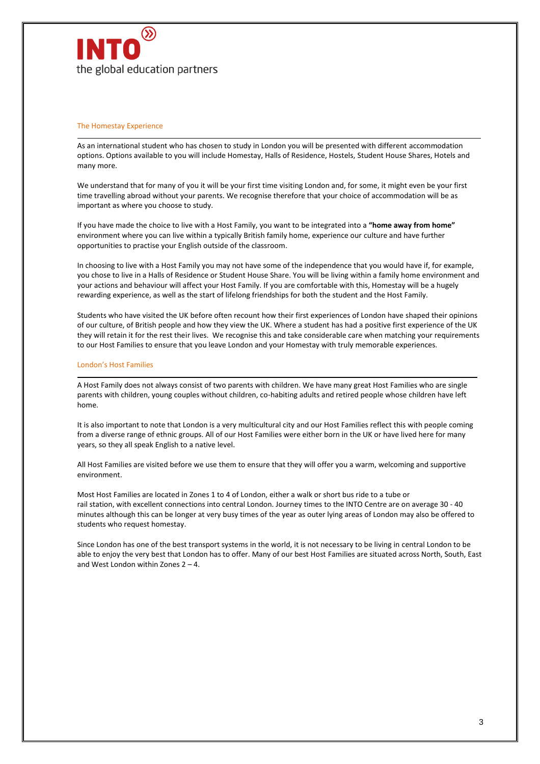

#### The Homestay Experience

As an international student who has chosen to study in London you will be presented with different accommodation options. Options available to you will include Homestay, Halls of Residence, Hostels, Student House Shares, Hotels and many more.

We understand that for many of you it will be your first time visiting London and, for some, it might even be your first time travelling abroad without your parents. We recognise therefore that your choice of accommodation will be as important as where you choose to study.

If you have made the choice to live with a Host Family, you want to be integrated into a **"home away from home"**  environment where you can live within a typically British family home, experience our culture and have further opportunities to practise your English outside of the classroom.

In choosing to live with a Host Family you may not have some of the independence that you would have if, for example, you chose to live in a Halls of Residence or Student House Share. You will be living within a family home environment and your actions and behaviour will affect your Host Family. If you are comfortable with this, Homestay will be a hugely rewarding experience, as well as the start of lifelong friendships for both the student and the Host Family.

Students who have visited the UK before often recount how their first experiences of London have shaped their opinions of our culture, of British people and how they view the UK. Where a student has had a positive first experience of the UK they will retain it for the rest their lives. We recognise this and take considerable care when matching your requirements to our Host Families to ensure that you leave London and your Homestay with truly memorable experiences.

#### London's Host Families

A Host Family does not always consist of two parents with children. We have many great Host Families who are single parents with children, young couples without children, co-habiting adults and retired people whose children have left home.

It is also important to note that London is a very multicultural city and our Host Families reflect this with people coming from a diverse range of ethnic groups. All of our Host Families were either born in the UK or have lived here for many years, so they all speak English to a native level.

All Host Families are visited before we use them to ensure that they will offer you a warm, welcoming and supportive environment.

Most Host Families are located in Zones 1 to 4 of London, either a walk or short bus ride to a tube or rail station, with excellent connections into central London. Journey times to the INTO Centre are on average 30 - 40 minutes although this can be longer at very busy times of the year as outer lying areas of London may also be offered to students who request homestay.

Since London has one of the best transport systems in the world, it is not necessary to be living in central London to be able to enjoy the very best that London has to offer. Many of our best Host Families are situated across North, South, East and West London within Zones 2 – 4.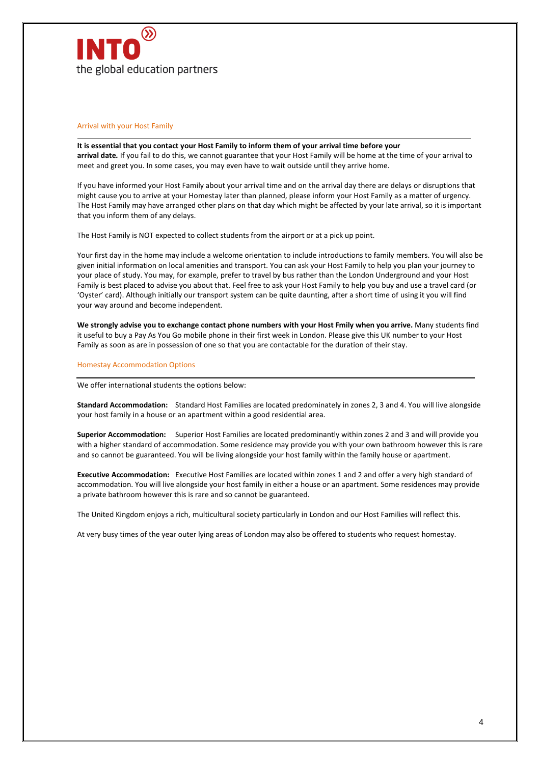

#### Arrival with your Host Family

**It is essential that you contact your Host Family to inform them of your arrival time before your arrival date***.* If you fail to do this, we cannot guarantee that your Host Family will be home at the time of your arrival to meet and greet you. In some cases, you may even have to wait outside until they arrive home.

If you have informed your Host Family about your arrival time and on the arrival day there are delays or disruptions that might cause you to arrive at your Homestay later than planned, please inform your Host Family as a matter of urgency. The Host Family may have arranged other plans on that day which might be affected by your late arrival, so it is important that you inform them of any delays.

The Host Family is NOT expected to collect students from the airport or at a pick up point.

Your first day in the home may include a welcome orientation to include introductions to family members. You will also be given initial information on local amenities and transport. You can ask your Host Family to help you plan your journey to your place of study. You may, for example, prefer to travel by bus rather than the London Underground and your Host Family is best placed to advise you about that. Feel free to ask your Host Family to help you buy and use a travel card (or 'Oyster' card). Although initially our transport system can be quite daunting, after a short time of using it you will find your way around and become independent.

**We strongly advise you to exchange contact phone numbers with your Host Fmily when you arrive.** Many students find it useful to buy a Pay As You Go mobile phone in their first week in London. Please give this UK number to your Host Family as soon as are in possession of one so that you are contactable for the duration of their stay.

# Homestay Accommodation Options

We offer international students the options below:

**Standard Accommodation:** Standard Host Families are located predominately in zones 2, 3 and 4. You will live alongside your host family in a house or an apartment within a good residential area.

**Superior Accommodation:** Superior Host Families are located predominantly within zones 2 and 3 and will provide you with a higher standard of accommodation. Some residence may provide you with your own bathroom however this is rare and so cannot be guaranteed. You will be living alongside your host family within the family house or apartment.

**Executive Accommodation:** Executive Host Families are located within zones 1 and 2 and offer a very high standard of accommodation. You will live alongside your host family in either a house or an apartment. Some residences may provide a private bathroom however this is rare and so cannot be guaranteed.

The United Kingdom enjoys a rich, multicultural society particularly in London and our Host Families will reflect this.

At very busy times of the year outer lying areas of London may also be offered to students who request homestay.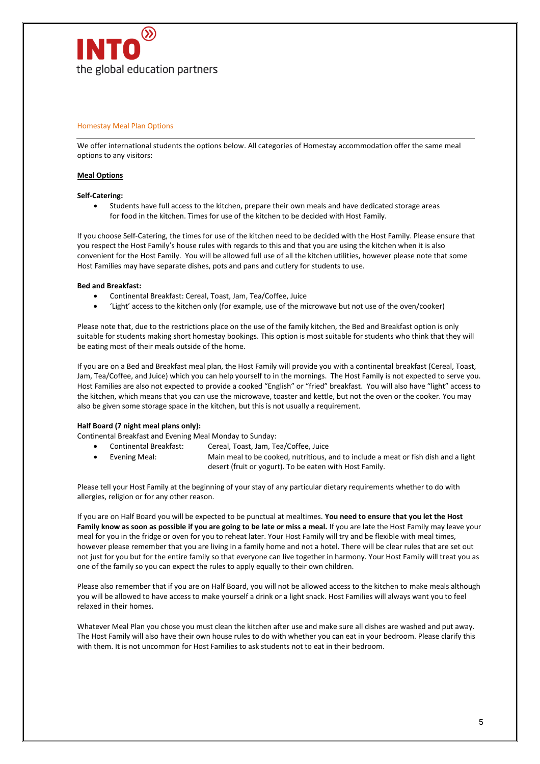

#### Homestay Meal Plan Options

We offer international students the options below. All categories of Homestay accommodation offer the same meal options to any visitors:

# **Meal Options**

# **Self-Catering:**

 Students have full access to the kitchen, prepare their own meals and have dedicated storage areas for food in the kitchen. Times for use of the kitchen to be decided with Host Family.

If you choose Self-Catering, the times for use of the kitchen need to be decided with the Host Family. Please ensure that you respect the Host Family's house rules with regards to this and that you are using the kitchen when it is also convenient for the Host Family. You will be allowed full use of all the kitchen utilities, however please note that some Host Families may have separate dishes, pots and pans and cutlery for students to use.

# **Bed and Breakfast:**

- Continental Breakfast: Cereal, Toast, Jam, Tea/Coffee, Juice
- 'Light' access to the kitchen only (for example, use of the microwave but not use of the oven/cooker)

Please note that, due to the restrictions place on the use of the family kitchen, the Bed and Breakfast option is only suitable for students making short homestay bookings. This option is most suitable for students who think that they will be eating most of their meals outside of the home.

If you are on a Bed and Breakfast meal plan, the Host Family will provide you with a continental breakfast (Cereal, Toast, Jam, Tea/Coffee, and Juice) which you can help yourself to in the mornings. The Host Family is not expected to serve you. Host Families are also not expected to provide a cooked "English" or "fried" breakfast. You will also have "light" access to the kitchen, which means that you can use the microwave, toaster and kettle, but not the oven or the cooker. You may also be given some storage space in the kitchen, but this is not usually a requirement.

# **Half Board (7 night meal plans only):**

Continental Breakfast and Evening Meal Monday to Sunday:

- Continental Breakfast: Cereal, Toast, Jam, Tea/Coffee, Juice
- Evening Meal: Main meal to be cooked, nutritious, and to include a meat or fish dish and a light desert (fruit or yogurt). To be eaten with Host Family.

Please tell your Host Family at the beginning of your stay of any particular dietary requirements whether to do with allergies, religion or for any other reason.

If you are on Half Board you will be expected to be punctual at mealtimes. **You need to ensure that you let the Host Family know as soon as possible if you are going to be late or miss a meal.** If you are late the Host Family may leave your meal for you in the fridge or oven for you to reheat later. Your Host Family will try and be flexible with meal times, however please remember that you are living in a family home and not a hotel. There will be clear rules that are set out not just for you but for the entire family so that everyone can live together in harmony. Your Host Family will treat you as one of the family so you can expect the rules to apply equally to their own children.

Please also remember that if you are on Half Board, you will not be allowed access to the kitchen to make meals although you will be allowed to have access to make yourself a drink or a light snack. Host Families will always want you to feel relaxed in their homes.

Whatever Meal Plan you chose you must clean the kitchen after use and make sure all dishes are washed and put away. The Host Family will also have their own house rules to do with whether you can eat in your bedroom. Please clarify this with them. It is not uncommon for Host Families to ask students not to eat in their bedroom.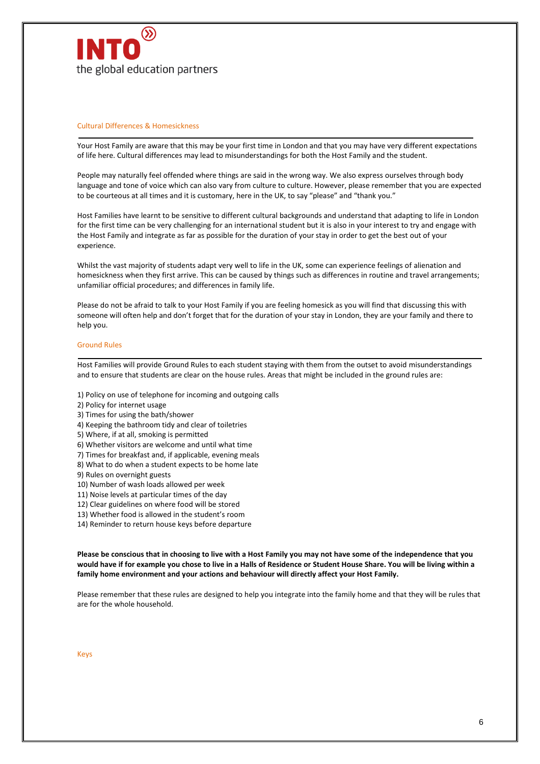

#### Cultural Differences & Homesickness

Your Host Family are aware that this may be your first time in London and that you may have very different expectations of life here. Cultural differences may lead to misunderstandings for both the Host Family and the student.

People may naturally feel offended where things are said in the wrong way. We also express ourselves through body language and tone of voice which can also vary from culture to culture. However, please remember that you are expected to be courteous at all times and it is customary, here in the UK, to say "please" and "thank you."

Host Families have learnt to be sensitive to different cultural backgrounds and understand that adapting to life in London for the first time can be very challenging for an international student but it is also in your interest to try and engage with the Host Family and integrate as far as possible for the duration of your stay in order to get the best out of your experience.

Whilst the vast majority of students adapt very well to life in the UK, some can experience feelings of alienation and homesickness when they first arrive. This can be caused by things such as differences in routine and travel arrangements; unfamiliar official procedures; and differences in family life.

Please do not be afraid to talk to your Host Family if you are feeling homesick as you will find that discussing this with someone will often help and don't forget that for the duration of your stay in London, they are your family and there to help you.

#### Ground Rules

Host Families will provide Ground Rules to each student staying with them from the outset to avoid misunderstandings and to ensure that students are clear on the house rules. Areas that might be included in the ground rules are:

- 1) Policy on use of telephone for incoming and outgoing calls
- 2) Policy for internet usage
- 3) Times for using the bath/shower
- 4) Keeping the bathroom tidy and clear of toiletries
- 5) Where, if at all, smoking is permitted
- 6) Whether visitors are welcome and until what time
- 7) Times for breakfast and, if applicable, evening meals
- 8) What to do when a student expects to be home late
- 9) Rules on overnight guests
- 10) Number of wash loads allowed per week
- 11) Noise levels at particular times of the day
- 12) Clear guidelines on where food will be stored
- 13) Whether food is allowed in the student's room
- 14) Reminder to return house keys before departure

**Please be conscious that in choosing to live with a Host Family you may not have some of the independence that you would have if for example you chose to live in a Halls of Residence or Student House Share. You will be living within a family home environment and your actions and behaviour will directly affect your Host Family.**

Please remember that these rules are designed to help you integrate into the family home and that they will be rules that are for the whole household.

Keys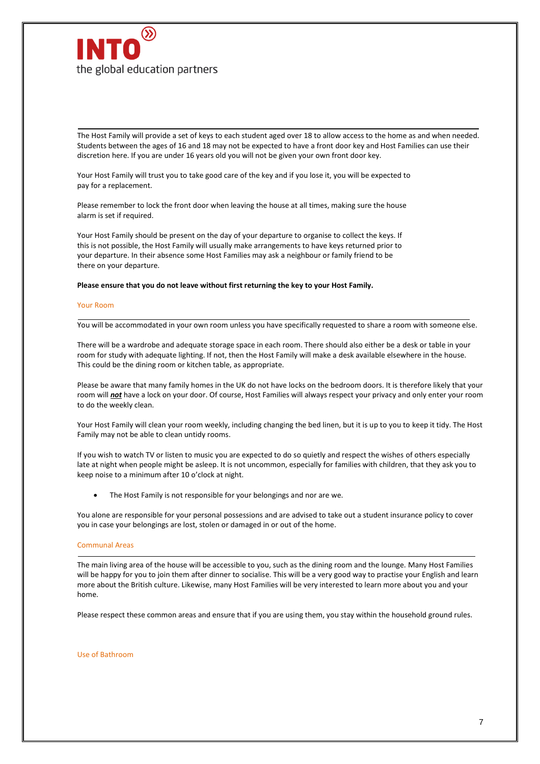

The Host Family will provide a set of keys to each student aged over 18 to allow access to the home as and when needed. Students between the ages of 16 and 18 may not be expected to have a front door key and Host Families can use their discretion here. If you are under 16 years old you will not be given your own front door key.

Your Host Family will trust you to take good care of the key and if you lose it, you will be expected to pay for a replacement.

Please remember to lock the front door when leaving the house at all times, making sure the house alarm is set if required.

Your Host Family should be present on the day of your departure to organise to collect the keys. If this is not possible, the Host Family will usually make arrangements to have keys returned prior to your departure. In their absence some Host Families may ask a neighbour or family friend to be there on your departure.

**Please ensure that you do not leave without first returning the key to your Host Family.**

#### Your Room

You will be accommodated in your own room unless you have specifically requested to share a room with someone else.

There will be a wardrobe and adequate storage space in each room. There should also either be a desk or table in your room for study with adequate lighting. If not, then the Host Family will make a desk available elsewhere in the house. This could be the dining room or kitchen table, as appropriate.

Please be aware that many family homes in the UK do not have locks on the bedroom doors. It is therefore likely that your room will *not* have a lock on your door. Of course, Host Families will always respect your privacy and only enter your room to do the weekly clean.

Your Host Family will clean your room weekly, including changing the bed linen, but it is up to you to keep it tidy. The Host Family may not be able to clean untidy rooms.

If you wish to watch TV or listen to music you are expected to do so quietly and respect the wishes of others especially late at night when people might be asleep. It is not uncommon, especially for families with children, that they ask you to keep noise to a minimum after 10 o'clock at night.

The Host Family is not responsible for your belongings and nor are we.

You alone are responsible for your personal possessions and are advised to take out a student insurance policy to cover you in case your belongings are lost, stolen or damaged in or out of the home.

#### Communal Areas

The main living area of the house will be accessible to you, such as the dining room and the lounge. Many Host Families will be happy for you to join them after dinner to socialise. This will be a very good way to practise your English and learn more about the British culture. Likewise, many Host Families will be very interested to learn more about you and your home.

Please respect these common areas and ensure that if you are using them, you stay within the household ground rules.

Use of Bathroom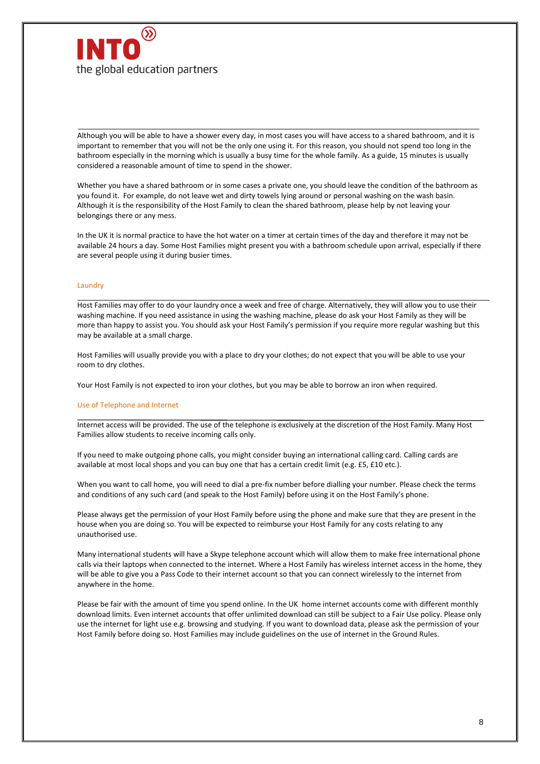

Although you will be able to have a shower every day, in most cases you will have access to a shared bathroom, and it is important to remember that you will not be the only one using it. For this reason, you should not spend too long in the bathroom especially in the morning which is usually a busy time for the whole family. As a guide, 15 minutes is usually considered a reasonable amount of time to spend in the shower.

Whether you have a shared bathroom or in some cases a private one, you should leave the condition of the bathroom as you found it. For example, do not leave wet and dirty towels lying around or personal washing on the wash basin. Although it is the responsibility of the Host Family to clean the shared bathroom, please help by not leaving your belongings there or any mess.

In the UK it is normal practice to have the hot water on a timer at certain times of the day and therefore it may not be available 24 hours a day. Some Host Families might present you with a bathroom schedule upon arrival, especially if there are several people using it during busier times.

#### Laundry

Host Families may offer to do your laundry once a week and free of charge. Alternatively, they will allow you to use their washing machine. If you need assistance in using the washing machine, please do ask your Host Family as they will be more than happy to assist you. You should ask your Host Family's permission if you require more regular washing but this may be available at a small charge.

Host Families will usually provide you with a place to dry your clothes; do not expect that you will be able to use your room to dry clothes.

Your Host Family is not expected to iron your clothes, but you may be able to borrow an iron when required.

#### Use of Telephone and Internet

Internet access will be provided. The use of the telephone is exclusively at the discretion of the Host Family. Many Host Families allow students to receive incoming calls only.

If you need to make outgoing phone calls, you might consider buying an international calling card. Calling cards are available at most local shops and you can buy one that has a certain credit limit (e.g. £5, £10 etc.).

When you want to call home, you will need to dial a pre-fix number before dialling your number. Please check the terms and conditions of any such card (and speak to the Host Family) before using it on the Host Family's phone.

Please always get the permission of your Host Family before using the phone and make sure that they are present in the house when you are doing so. You will be expected to reimburse your Host Family for any costs relating to any unauthorised use.

Many international students will have a Skype telephone account which will allow them to make free international phone calls via their laptops when connected to the internet. Where a Host Family has wireless internet access in the home, they will be able to give you a Pass Code to their internet account so that you can connect wirelessly to the internet from anywhere in the home.

Please be fair with the amount of time you spend online. In the UK home internet accounts come with different monthly download limits. Even internet accounts that offer unlimited download can still be subject to a Fair Use policy. Please only use the internet for light use e.g. browsing and studying. If you want to download data, please ask the permission of your Host Family before doing so. Host Families may include guidelines on the use of internet in the Ground Rules.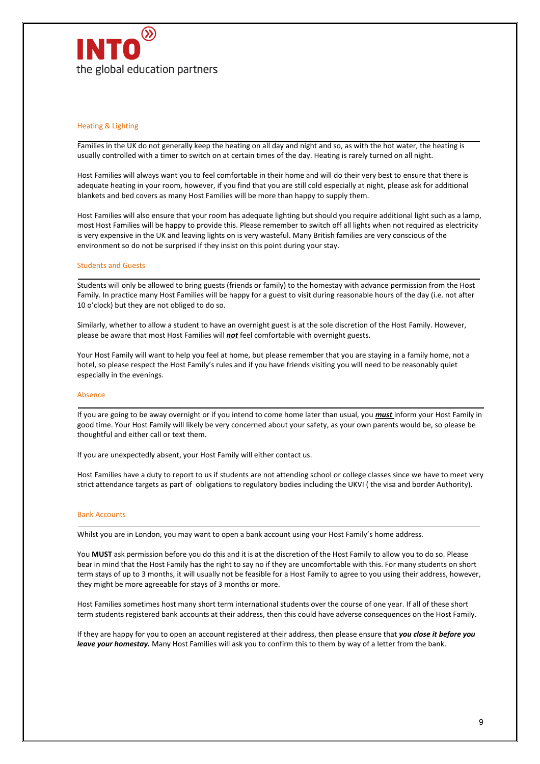

#### Heating & Lighting

Families in the UK do not generally keep the heating on all day and night and so, as with the hot water, the heating is usually controlled with a timer to switch on at certain times of the day. Heating is rarely turned on all night.

Host Families will always want you to feel comfortable in their home and will do their very best to ensure that there is adequate heating in your room, however, if you find that you are still cold especially at night, please ask for additional blankets and bed covers as many Host Families will be more than happy to supply them.

Host Families will also ensure that your room has adequate lighting but should you require additional light such as a lamp, most Host Families will be happy to provide this. Please remember to switch off all lights when not required as electricity is very expensive in the UK and leaving lights on is very wasteful. Many British families are very conscious of the environment so do not be surprised if they insist on this point during your stay.

#### Students and Guests

Students will only be allowed to bring guests (friends or family) to the homestay with advance permission from the Host Family. In practice many Host Families will be happy for a guest to visit during reasonable hours of the day (i.e. not after 10 o'clock) but they are not obliged to do so.

Similarly, whether to allow a student to have an overnight guest is at the sole discretion of the Host Family. However, please be aware that most Host Families will *not* feel comfortable with overnight guests.

Your Host Family will want to help you feel at home, but please remember that you are staying in a family home, not a hotel, so please respect the Host Family's rules and if you have friends visiting you will need to be reasonably quiet especially in the evenings.

#### Absence

If you are going to be away overnight or if you intend to come home later than usual, you *must* inform your Host Family in good time. Your Host Family will likely be very concerned about your safety, as your own parents would be, so please be thoughtful and either call or text them.

If you are unexpectedly absent, your Host Family will either contact us.

Host Families have a duty to report to us if students are not attending school or college classes since we have to meet very strict attendance targets as part of obligations to regulatory bodies including the UKVI ( the visa and border Authority).

#### Bank Accounts

Whilst you are in London, you may want to open a bank account using your Host Family's home address.

You **MUST** ask permission before you do this and it is at the discretion of the Host Family to allow you to do so. Please bear in mind that the Host Family has the right to say no if they are uncomfortable with this. For many students on short term stays of up to 3 months, it will usually not be feasible for a Host Family to agree to you using their address, however, they might be more agreeable for stays of 3 months or more.

Host Families sometimes host many short term international students over the course of one year. If all of these short term students registered bank accounts at their address, then this could have adverse consequences on the Host Family.

If they are happy for you to open an account registered at their address, then please ensure that *you close it before you leave your homestay.* Many Host Families will ask you to confirm this to them by way of a letter from the bank.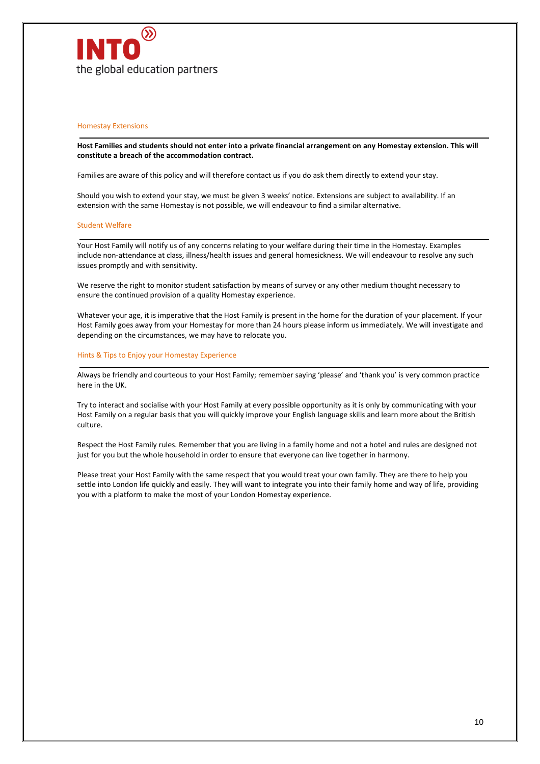

#### Homestay Extensions

**Host Families and students should not enter into a private financial arrangement on any Homestay extension. This will constitute a breach of the accommodation contract.**

Families are aware of this policy and will therefore contact us if you do ask them directly to extend your stay.

Should you wish to extend your stay, we must be given 3 weeks' notice. Extensions are subject to availability. If an extension with the same Homestay is not possible, we will endeavour to find a similar alternative.

#### Student Welfare

Your Host Family will notify us of any concerns relating to your welfare during their time in the Homestay. Examples include non-attendance at class, illness/health issues and general homesickness. We will endeavour to resolve any such issues promptly and with sensitivity.

We reserve the right to monitor student satisfaction by means of survey or any other medium thought necessary to ensure the continued provision of a quality Homestay experience.

Whatever your age, it is imperative that the Host Family is present in the home for the duration of your placement. If your Host Family goes away from your Homestay for more than 24 hours please inform us immediately. We will investigate and depending on the circumstances, we may have to relocate you.

#### Hints & Tips to Enjoy your Homestay Experience

Always be friendly and courteous to your Host Family; remember saying 'please' and 'thank you' is very common practice here in the UK.

Try to interact and socialise with your Host Family at every possible opportunity as it is only by communicating with your Host Family on a regular basis that you will quickly improve your English language skills and learn more about the British culture.

Respect the Host Family rules. Remember that you are living in a family home and not a hotel and rules are designed not just for you but the whole household in order to ensure that everyone can live together in harmony.

Please treat your Host Family with the same respect that you would treat your own family. They are there to help you settle into London life quickly and easily. They will want to integrate you into their family home and way of life, providing you with a platform to make the most of your London Homestay experience.